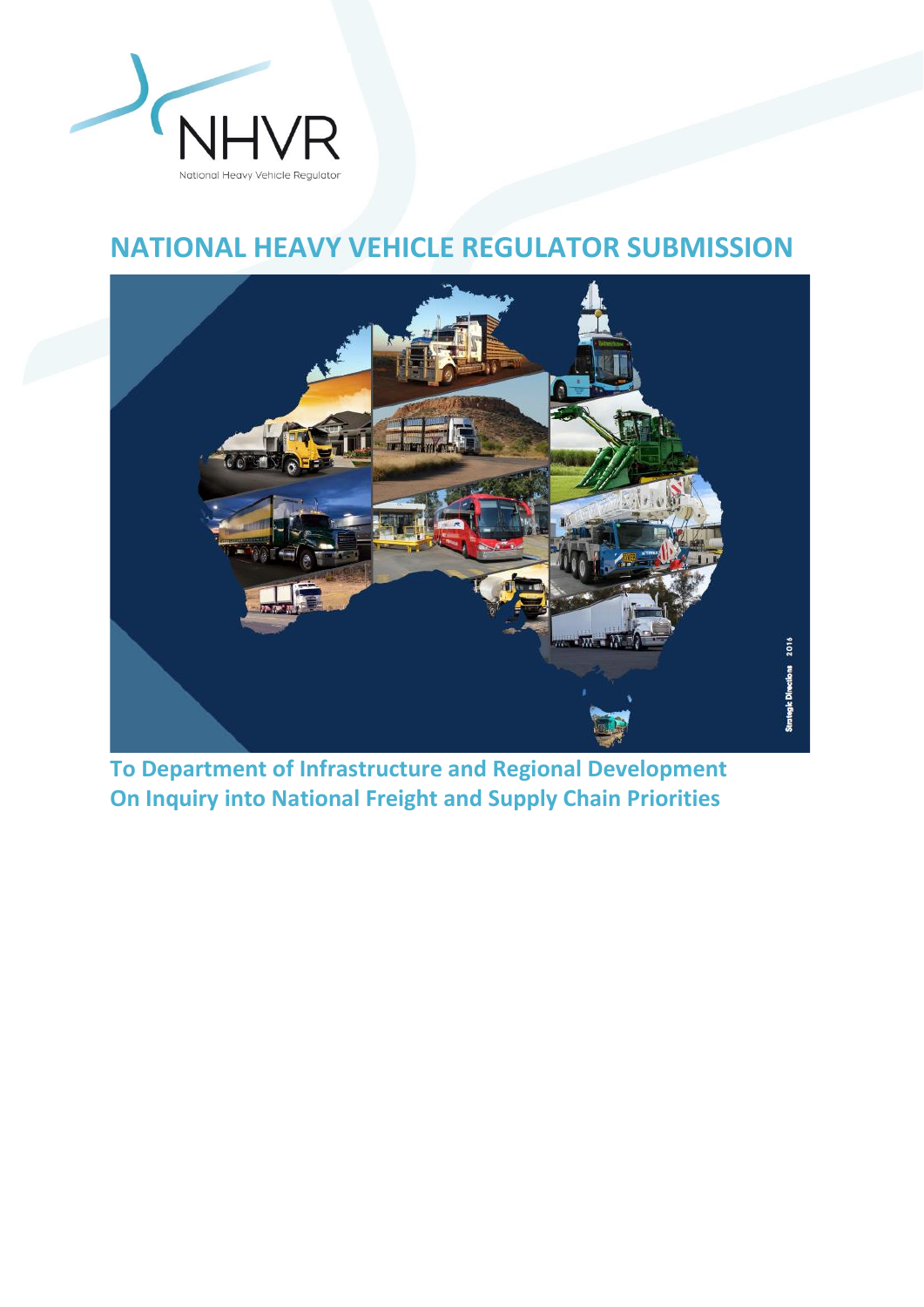

# **NATIONAL HEAVY VEHICLE REGULATOR SUBMISSION**



**To Department of Infrastructure and Regional Development On Inquiry into National Freight and Supply Chain Priorities**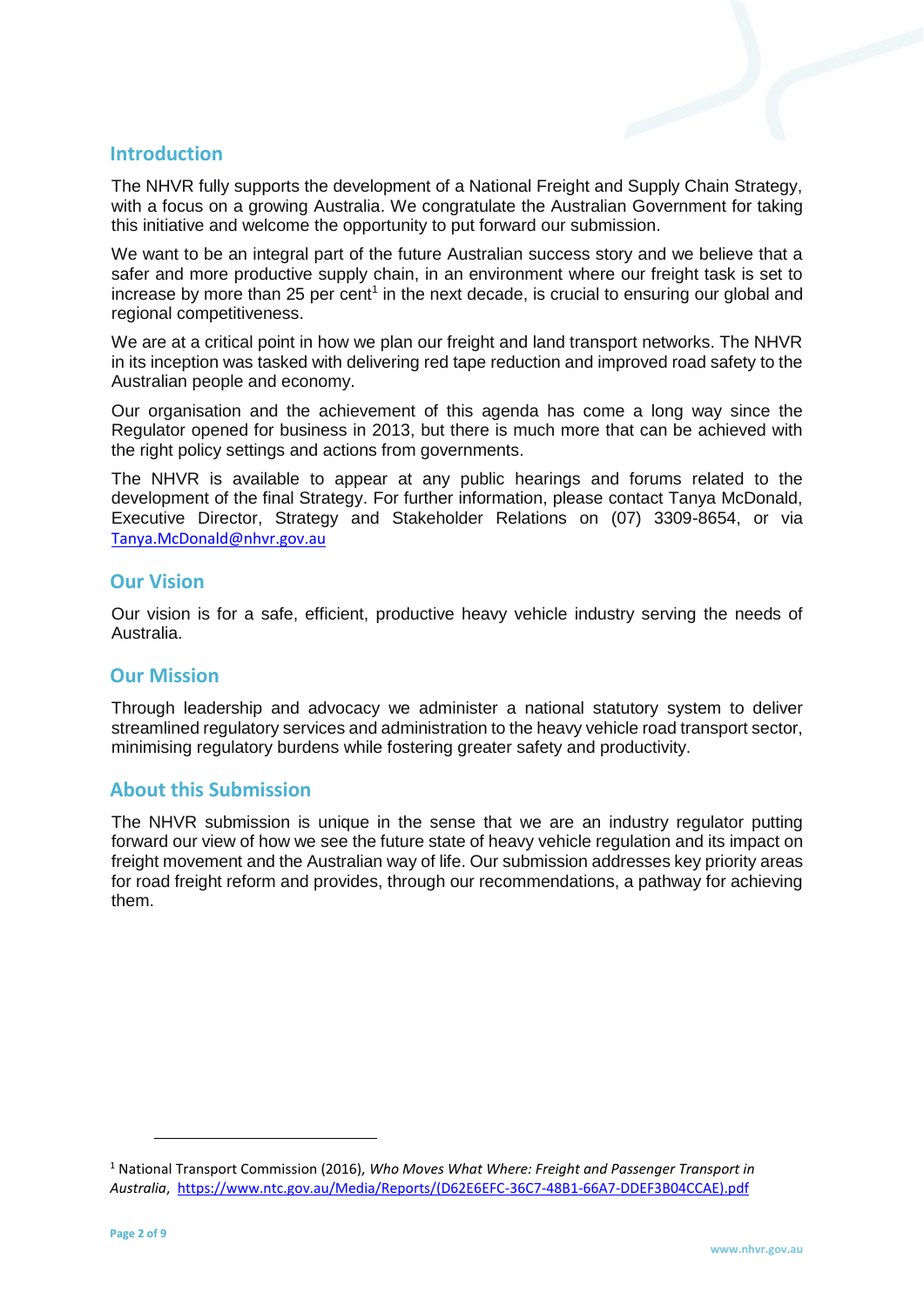## **Introduction**

The NHVR fully supports the development of a National Freight and Supply Chain Strategy, with a focus on a growing Australia. We congratulate the Australian Government for taking this initiative and welcome the opportunity to put forward our submission.

We want to be an integral part of the future Australian success story and we believe that a safer and more productive supply chain, in an environment where our freight task is set to increase by more than 25 per cent<sup>1</sup> in the next decade, is crucial to ensuring our global and regional competitiveness.

We are at a critical point in how we plan our freight and land transport networks. The NHVR in its inception was tasked with delivering red tape reduction and improved road safety to the Australian people and economy.

Our organisation and the achievement of this agenda has come a long way since the Regulator opened for business in 2013, but there is much more that can be achieved with the right policy settings and actions from governments.

The NHVR is available to appear at any public hearings and forums related to the development of the final Strategy. For further information, please contact Tanya McDonald, Executive Director, Strategy and Stakeholder Relations on (07) 3309-8654, or via [Tanya.McDonald@nhvr.gov.au](mailto:Tanya.McDonald@nhvr.gov.au)

#### **Our Vision**

Our vision is for a safe, efficient, productive heavy vehicle industry serving the needs of Australia.

#### **Our Mission**

Through leadership and advocacy we administer a national statutory system to deliver streamlined regulatory services and administration to the heavy vehicle road transport sector, minimising regulatory burdens while fostering greater safety and productivity.

### **About this Submission**

The NHVR submission is unique in the sense that we are an industry regulator putting forward our view of how we see the future state of heavy vehicle regulation and its impact on freight movement and the Australian way of life. Our submission addresses key priority areas for road freight reform and provides, through our recommendations, a pathway for achieving them.

 $\overline{a}$ 

<sup>1</sup> National Transport Commission (2016), *Who Moves What Where: Freight and Passenger Transport in Australia*, [https://www.ntc.gov.au/Media/Reports/\(D62E6EFC-36C7-48B1-66A7-DDEF3B04CCAE\).pdf](https://www.ntc.gov.au/Media/Reports/(D62E6EFC-36C7-48B1-66A7-DDEF3B04CCAE).pdf)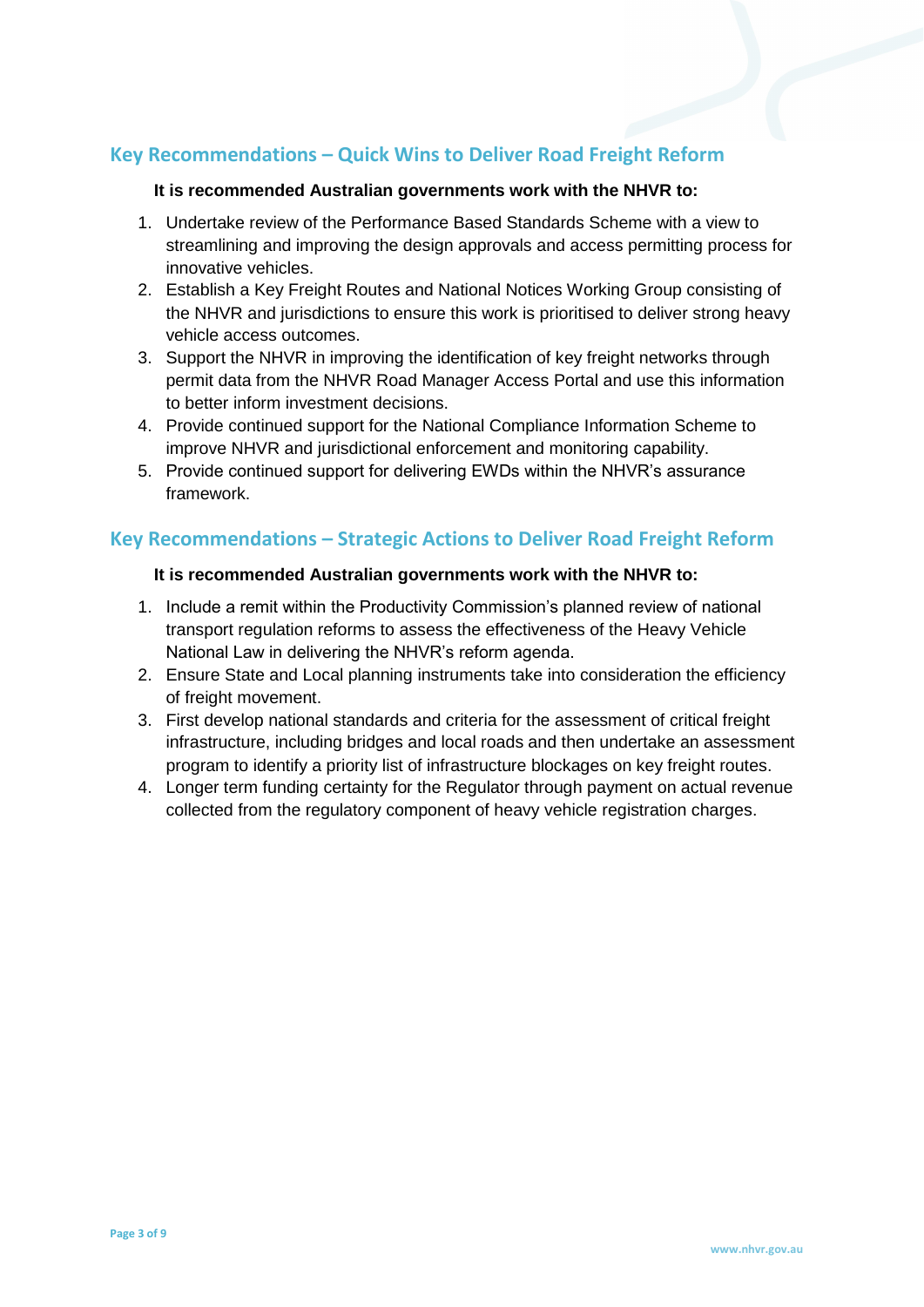# **Key Recommendations – Quick Wins to Deliver Road Freight Reform**

#### **It is recommended Australian governments work with the NHVR to:**

- 1. Undertake review of the Performance Based Standards Scheme with a view to streamlining and improving the design approvals and access permitting process for innovative vehicles.
- 2. Establish a Key Freight Routes and National Notices Working Group consisting of the NHVR and jurisdictions to ensure this work is prioritised to deliver strong heavy vehicle access outcomes.
- 3. Support the NHVR in improving the identification of key freight networks through permit data from the NHVR Road Manager Access Portal and use this information to better inform investment decisions.
- 4. Provide continued support for the National Compliance Information Scheme to improve NHVR and jurisdictional enforcement and monitoring capability.
- 5. Provide continued support for delivering EWDs within the NHVR's assurance framework.

## **Key Recommendations – Strategic Actions to Deliver Road Freight Reform**

#### **It is recommended Australian governments work with the NHVR to:**

- 1. Include a remit within the Productivity Commission's planned review of national transport regulation reforms to assess the effectiveness of the Heavy Vehicle National Law in delivering the NHVR's reform agenda.
- 2. Ensure State and Local planning instruments take into consideration the efficiency of freight movement.
- 3. First develop national standards and criteria for the assessment of critical freight infrastructure, including bridges and local roads and then undertake an assessment program to identify a priority list of infrastructure blockages on key freight routes.
- 4. Longer term funding certainty for the Regulator through payment on actual revenue collected from the regulatory component of heavy vehicle registration charges.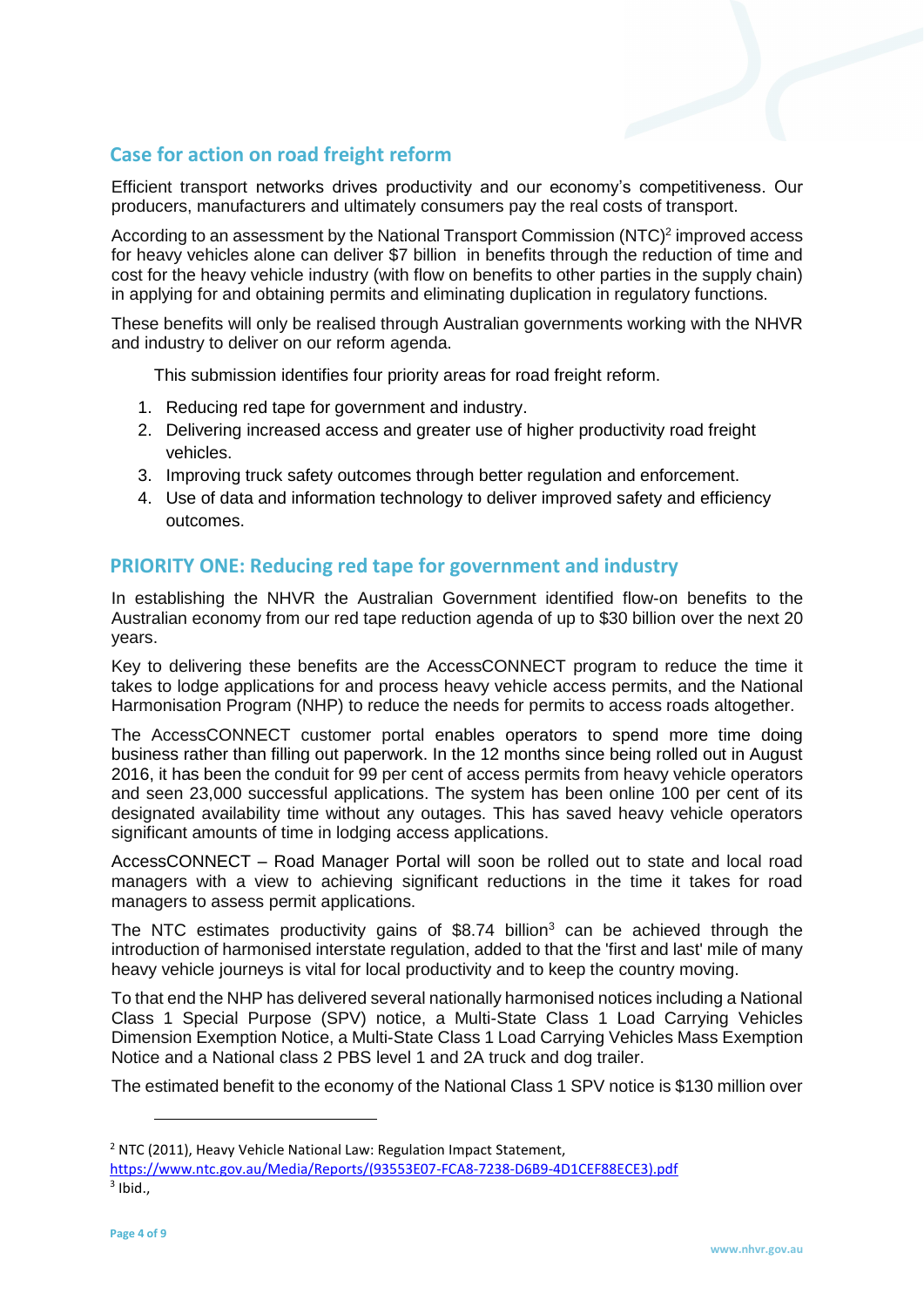# **Case for action on road freight reform**

Efficient transport networks drives productivity and our economy's competitiveness. Our producers, manufacturers and ultimately consumers pay the real costs of transport.

According to an assessment by the National Transport Commission  $(NTC)^2$  improved access for heavy vehicles alone can deliver \$7 billion in benefits through the reduction of time and cost for the heavy vehicle industry (with flow on benefits to other parties in the supply chain) in applying for and obtaining permits and eliminating duplication in regulatory functions.

These benefits will only be realised through Australian governments working with the NHVR and industry to deliver on our reform agenda.

This submission identifies four priority areas for road freight reform.

- 1. Reducing red tape for government and industry.
- 2. Delivering increased access and greater use of higher productivity road freight vehicles.
- 3. Improving truck safety outcomes through better regulation and enforcement.
- 4. Use of data and information technology to deliver improved safety and efficiency outcomes.

## **PRIORITY ONE: Reducing red tape for government and industry**

In establishing the NHVR the Australian Government identified flow-on benefits to the Australian economy from our red tape reduction agenda of up to \$30 billion over the next 20 years.

Key to delivering these benefits are the AccessCONNECT program to reduce the time it takes to lodge applications for and process heavy vehicle access permits, and the National Harmonisation Program (NHP) to reduce the needs for permits to access roads altogether.

The AccessCONNECT customer portal enables operators to spend more time doing business rather than filling out paperwork. In the 12 months since being rolled out in August 2016, it has been the conduit for 99 per cent of access permits from heavy vehicle operators and seen 23,000 successful applications. The system has been online 100 per cent of its designated availability time without any outages. This has saved heavy vehicle operators significant amounts of time in lodging access applications.

AccessCONNECT – Road Manager Portal will soon be rolled out to state and local road managers with a view to achieving significant reductions in the time it takes for road managers to assess permit applications.

The NTC estimates productivity gains of  $$8.74$  billion<sup>3</sup> can be achieved through the introduction of harmonised interstate regulation, added to that the 'first and last' mile of many heavy vehicle journeys is vital for local productivity and to keep the country moving.

To that end the NHP has delivered several nationally harmonised notices including a National Class 1 Special Purpose (SPV) notice, a Multi-State Class 1 Load Carrying Vehicles Dimension Exemption Notice, a Multi-State Class 1 Load Carrying Vehicles Mass Exemption Notice and a National class 2 PBS level 1 and 2A truck and dog trailer.

The estimated benefit to the economy of the National Class 1 SPV notice is \$130 million over

 $\overline{a}$ 

<sup>&</sup>lt;sup>2</sup> NTC (2011), Heavy Vehicle National Law: Regulation Impact Statement,

[https://www.ntc.gov.au/Media/Reports/\(93553E07-FCA8-7238-D6B9-4D1CEF88ECE3\).pdf](https://www.ntc.gov.au/Media/Reports/(93553E07-FCA8-7238-D6B9-4D1CEF88ECE3).pdf)  $3$  Ibid.,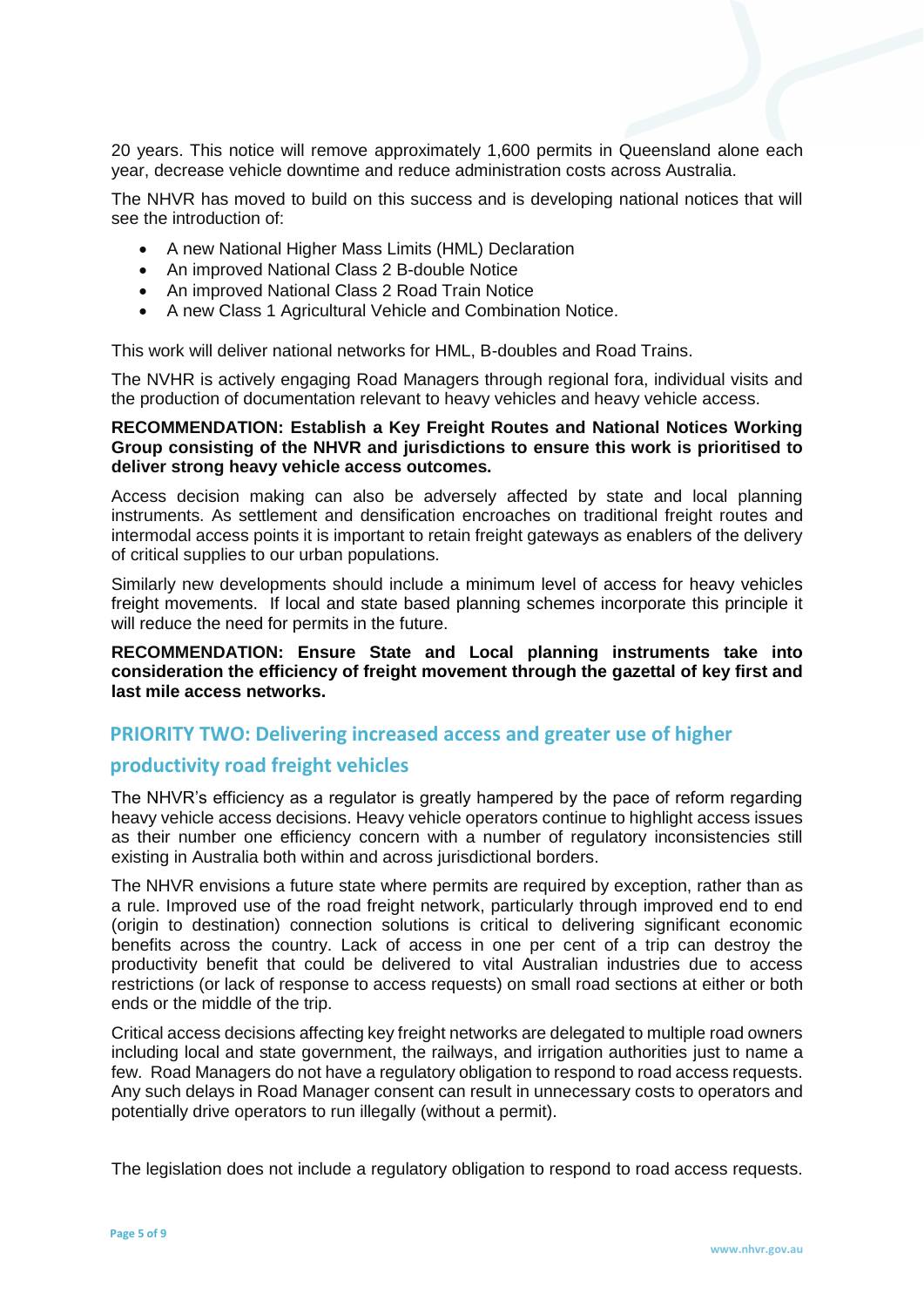20 years. This notice will remove approximately 1,600 permits in Queensland alone each year, decrease vehicle downtime and reduce administration costs across Australia.

The NHVR has moved to build on this success and is developing national notices that will see the introduction of:

- A new National Higher Mass Limits (HML) Declaration
- An improved National Class 2 B-double Notice
- An improved National Class 2 Road Train Notice
- A new Class 1 Agricultural Vehicle and Combination Notice.

This work will deliver national networks for HML, B-doubles and Road Trains.

The NVHR is actively engaging Road Managers through regional fora, individual visits and the production of documentation relevant to heavy vehicles and heavy vehicle access.

#### **RECOMMENDATION: Establish a Key Freight Routes and National Notices Working Group consisting of the NHVR and jurisdictions to ensure this work is prioritised to deliver strong heavy vehicle access outcomes.**

Access decision making can also be adversely affected by state and local planning instruments. As settlement and densification encroaches on traditional freight routes and intermodal access points it is important to retain freight gateways as enablers of the delivery of critical supplies to our urban populations.

Similarly new developments should include a minimum level of access for heavy vehicles freight movements. If local and state based planning schemes incorporate this principle it will reduce the need for permits in the future.

#### **RECOMMENDATION: Ensure State and Local planning instruments take into consideration the efficiency of freight movement through the gazettal of key first and last mile access networks.**

#### **PRIORITY TWO: Delivering increased access and greater use of higher**

#### **productivity road freight vehicles**

The NHVR's efficiency as a regulator is greatly hampered by the pace of reform regarding heavy vehicle access decisions. Heavy vehicle operators continue to highlight access issues as their number one efficiency concern with a number of regulatory inconsistencies still existing in Australia both within and across jurisdictional borders.

The NHVR envisions a future state where permits are required by exception, rather than as a rule. Improved use of the road freight network, particularly through improved end to end (origin to destination) connection solutions is critical to delivering significant economic benefits across the country. Lack of access in one per cent of a trip can destroy the productivity benefit that could be delivered to vital Australian industries due to access restrictions (or lack of response to access requests) on small road sections at either or both ends or the middle of the trip.

Critical access decisions affecting key freight networks are delegated to multiple road owners including local and state government, the railways, and irrigation authorities just to name a few. Road Managers do not have a regulatory obligation to respond to road access requests. Any such delays in Road Manager consent can result in unnecessary costs to operators and potentially drive operators to run illegally (without a permit).

The legislation does not include a regulatory obligation to respond to road access requests.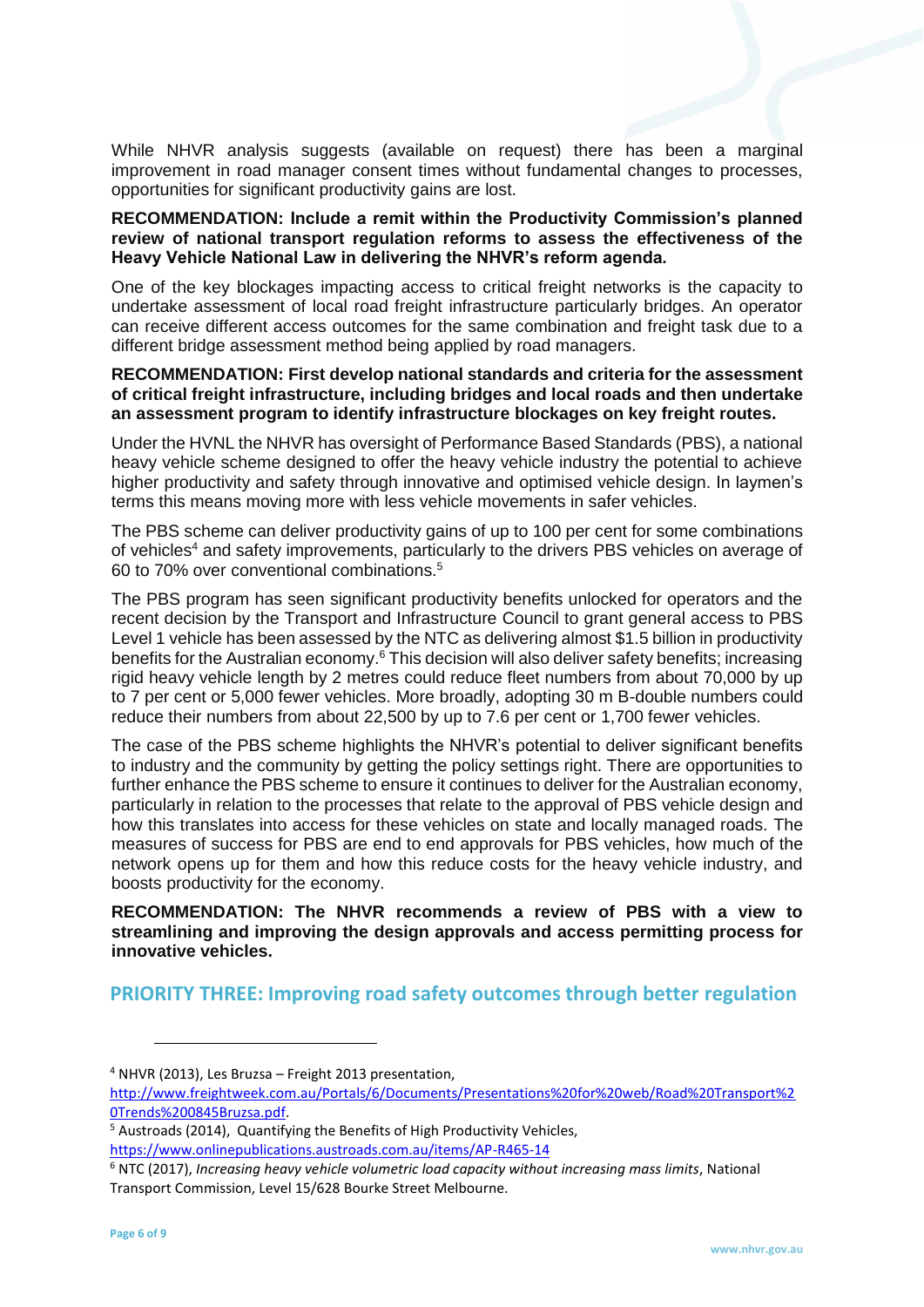While NHVR analysis suggests (available on request) there has been a marginal improvement in road manager consent times without fundamental changes to processes, opportunities for significant productivity gains are lost.

#### **RECOMMENDATION: Include a remit within the Productivity Commission's planned review of national transport regulation reforms to assess the effectiveness of the Heavy Vehicle National Law in delivering the NHVR's reform agenda.**

One of the key blockages impacting access to critical freight networks is the capacity to undertake assessment of local road freight infrastructure particularly bridges. An operator can receive different access outcomes for the same combination and freight task due to a different bridge assessment method being applied by road managers.

#### **RECOMMENDATION: First develop national standards and criteria for the assessment of critical freight infrastructure, including bridges and local roads and then undertake an assessment program to identify infrastructure blockages on key freight routes.**

Under the HVNL the NHVR has oversight of Performance Based Standards (PBS), a national heavy vehicle scheme designed to offer the heavy vehicle industry the potential to achieve higher productivity and safety through innovative and optimised vehicle design. In laymen's terms this means moving more with less vehicle movements in safer vehicles.

The PBS scheme can deliver productivity gains of up to 100 per cent for some combinations of vehicles<sup>4</sup> and safety improvements, particularly to the drivers PBS vehicles on average of 60 to 70% over conventional combinations.<sup>5</sup>

The PBS program has seen significant productivity benefits unlocked for operators and the recent decision by the Transport and Infrastructure Council to grant general access to PBS Level 1 vehicle has been assessed by the NTC as delivering almost \$1.5 billion in productivity benefits for the Australian economy.<sup>6</sup> This decision will also deliver safety benefits; increasing rigid heavy vehicle length by 2 metres could reduce fleet numbers from about 70,000 by up to 7 per cent or 5,000 fewer vehicles. More broadly, adopting 30 m B-double numbers could reduce their numbers from about 22,500 by up to 7.6 per cent or 1,700 fewer vehicles.

The case of the PBS scheme highlights the NHVR's potential to deliver significant benefits to industry and the community by getting the policy settings right. There are opportunities to further enhance the PBS scheme to ensure it continues to deliver for the Australian economy, particularly in relation to the processes that relate to the approval of PBS vehicle design and how this translates into access for these vehicles on state and locally managed roads. The measures of success for PBS are end to end approvals for PBS vehicles, how much of the network opens up for them and how this reduce costs for the heavy vehicle industry, and boosts productivity for the economy.

**RECOMMENDATION: The NHVR recommends a review of PBS with a view to streamlining and improving the design approvals and access permitting process for innovative vehicles.**

**PRIORITY THREE: Improving road safety outcomes through better regulation**

 $\overline{a}$ 

 $4$  NHVR (2013), Les Bruzsa – Freight 2013 presentation,

[http://www.freightweek.com.au/Portals/6/Documents/Presentations%20for%20web/Road%20Transport%2](http://www.freightweek.com.au/Portals/6/Documents/Presentations%20for%20web/Road%20Transport%20Trends%200845Bruzsa.pdf) [0Trends%200845Bruzsa.pdf.](http://www.freightweek.com.au/Portals/6/Documents/Presentations%20for%20web/Road%20Transport%20Trends%200845Bruzsa.pdf)

<sup>5</sup> Austroads (2014), Quantifying the Benefits of High Productivity Vehicles, <https://www.onlinepublications.austroads.com.au/items/AP-R465-14>

<sup>6</sup> NTC (2017), *Increasing heavy vehicle volumetric load capacity without increasing mass limits*, National Transport Commission, Level 15/628 Bourke Street Melbourne.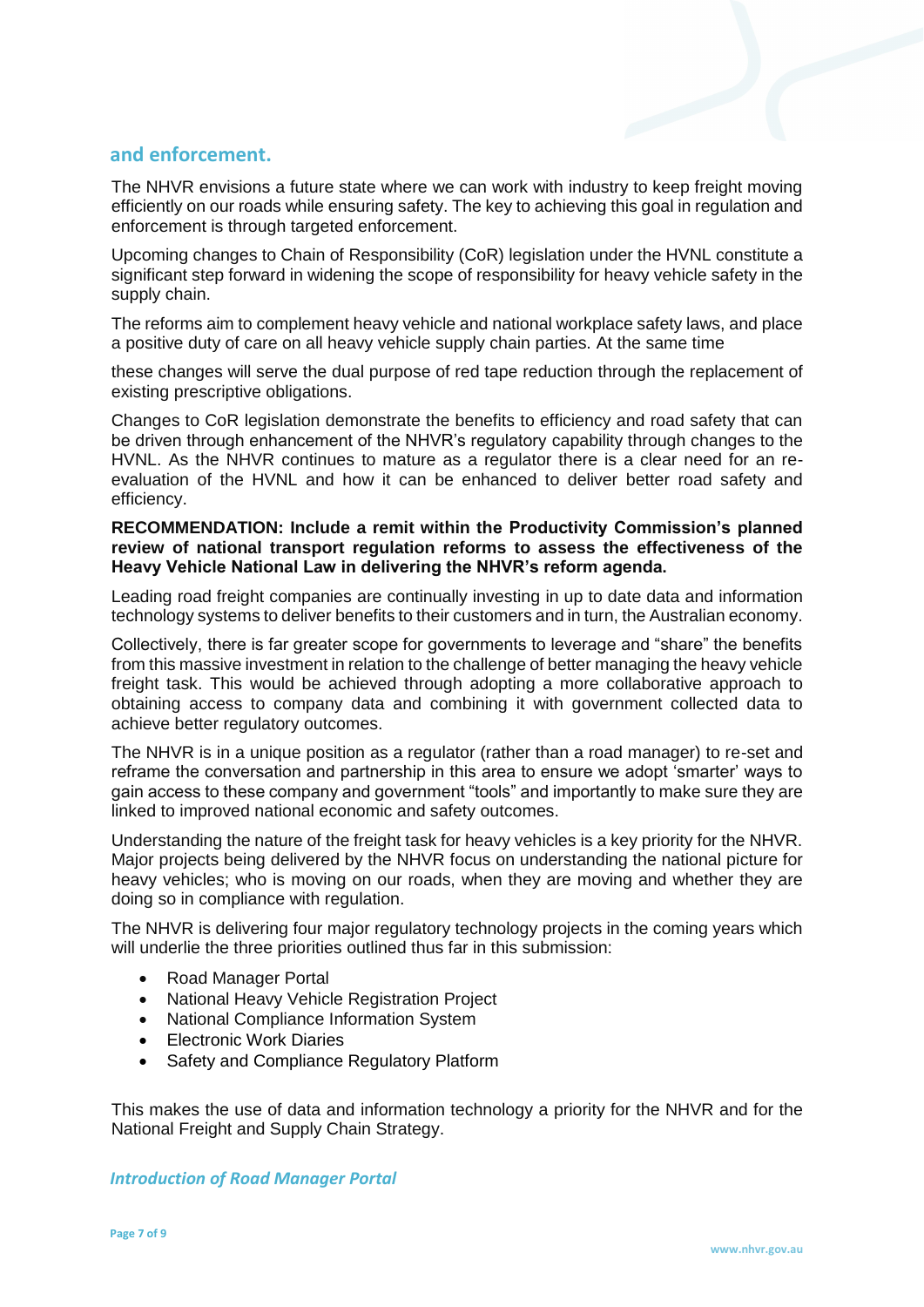## **and enforcement.**

The NHVR envisions a future state where we can work with industry to keep freight moving efficiently on our roads while ensuring safety. The key to achieving this goal in regulation and enforcement is through targeted enforcement.

Upcoming changes to Chain of Responsibility (CoR) legislation under the HVNL constitute a significant step forward in widening the scope of responsibility for heavy vehicle safety in the supply chain.

The reforms aim to complement heavy vehicle and national workplace safety laws, and place a positive duty of care on all heavy vehicle supply chain parties. At the same time

these changes will serve the dual purpose of red tape reduction through the replacement of existing prescriptive obligations.

Changes to CoR legislation demonstrate the benefits to efficiency and road safety that can be driven through enhancement of the NHVR's regulatory capability through changes to the HVNL. As the NHVR continues to mature as a regulator there is a clear need for an reevaluation of the HVNL and how it can be enhanced to deliver better road safety and efficiency.

#### **RECOMMENDATION: Include a remit within the Productivity Commission's planned review of national transport regulation reforms to assess the effectiveness of the Heavy Vehicle National Law in delivering the NHVR's reform agenda.**

Leading road freight companies are continually investing in up to date data and information technology systems to deliver benefits to their customers and in turn, the Australian economy.

Collectively, there is far greater scope for governments to leverage and "share" the benefits from this massive investment in relation to the challenge of better managing the heavy vehicle freight task. This would be achieved through adopting a more collaborative approach to obtaining access to company data and combining it with government collected data to achieve better regulatory outcomes.

The NHVR is in a unique position as a regulator (rather than a road manager) to re-set and reframe the conversation and partnership in this area to ensure we adopt 'smarter' ways to gain access to these company and government "tools" and importantly to make sure they are linked to improved national economic and safety outcomes.

Understanding the nature of the freight task for heavy vehicles is a key priority for the NHVR. Major projects being delivered by the NHVR focus on understanding the national picture for heavy vehicles; who is moving on our roads, when they are moving and whether they are doing so in compliance with regulation.

The NHVR is delivering four major regulatory technology projects in the coming years which will underlie the three priorities outlined thus far in this submission:

- Road Manager Portal
- National Heavy Vehicle Registration Project
- National Compliance Information System
- Electronic Work Diaries
- Safety and Compliance Regulatory Platform

This makes the use of data and information technology a priority for the NHVR and for the National Freight and Supply Chain Strategy.

*Introduction of Road Manager Portal*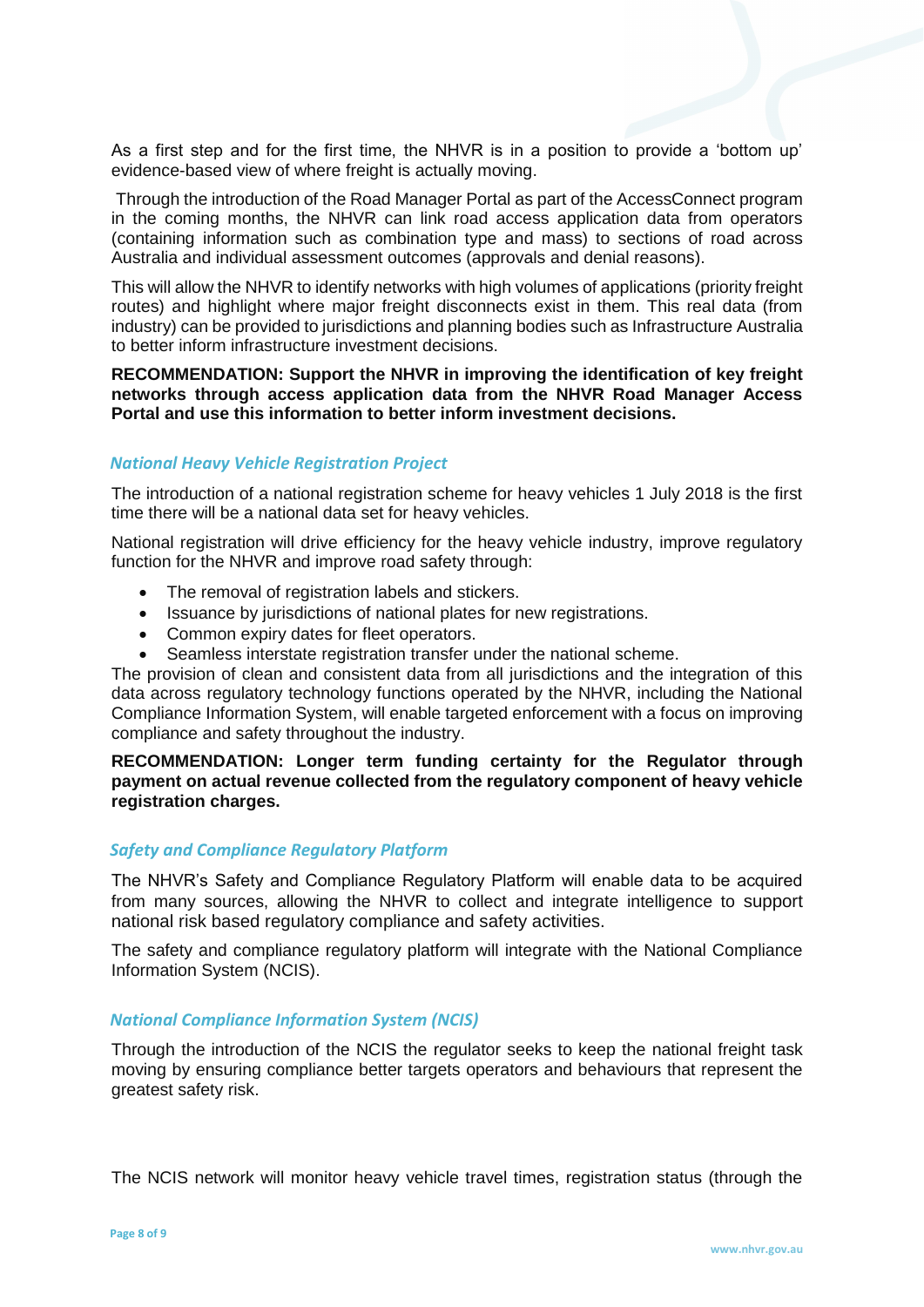As a first step and for the first time, the NHVR is in a position to provide a 'bottom up' evidence-based view of where freight is actually moving.

Through the introduction of the Road Manager Portal as part of the AccessConnect program in the coming months, the NHVR can link road access application data from operators (containing information such as combination type and mass) to sections of road across Australia and individual assessment outcomes (approvals and denial reasons).

This will allow the NHVR to identify networks with high volumes of applications (priority freight routes) and highlight where major freight disconnects exist in them. This real data (from industry) can be provided to jurisdictions and planning bodies such as Infrastructure Australia to better inform infrastructure investment decisions.

**RECOMMENDATION: Support the NHVR in improving the identification of key freight networks through access application data from the NHVR Road Manager Access Portal and use this information to better inform investment decisions.**

#### *National Heavy Vehicle Registration Project*

The introduction of a national registration scheme for heavy vehicles 1 July 2018 is the first time there will be a national data set for heavy vehicles.

National registration will drive efficiency for the heavy vehicle industry, improve regulatory function for the NHVR and improve road safety through:

- The removal of registration labels and stickers.
- Issuance by jurisdictions of national plates for new registrations.
- Common expiry dates for fleet operators.
- Seamless interstate registration transfer under the national scheme.

The provision of clean and consistent data from all jurisdictions and the integration of this data across regulatory technology functions operated by the NHVR, including the National Compliance Information System, will enable targeted enforcement with a focus on improving compliance and safety throughout the industry.

**RECOMMENDATION: Longer term funding certainty for the Regulator through payment on actual revenue collected from the regulatory component of heavy vehicle registration charges.**

#### *Safety and Compliance Regulatory Platform*

The NHVR's Safety and Compliance Regulatory Platform will enable data to be acquired from many sources, allowing the NHVR to collect and integrate intelligence to support national risk based regulatory compliance and safety activities.

The safety and compliance regulatory platform will integrate with the National Compliance Information System (NCIS).

#### *National Compliance Information System (NCIS)*

Through the introduction of the NCIS the regulator seeks to keep the national freight task moving by ensuring compliance better targets operators and behaviours that represent the greatest safety risk.

The NCIS network will monitor heavy vehicle travel times, registration status (through the